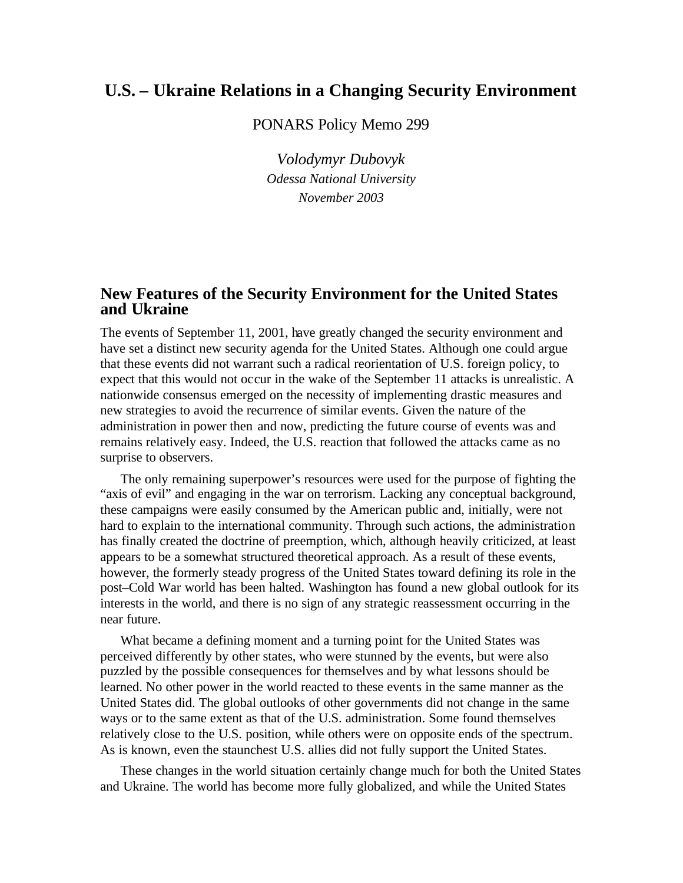## **U.S. – Ukraine Relations in a Changing Security Environment**

PONARS Policy Memo 299

*Volodymyr Dubovyk Odessa National University November 2003*

#### **New Features of the Security Environment for the United States and Ukraine**

The events of September 11, 2001, have greatly changed the security environment and have set a distinct new security agenda for the United States. Although one could argue that these events did not warrant such a radical reorientation of U.S. foreign policy, to expect that this would not occur in the wake of the September 11 attacks is unrealistic. A nationwide consensus emerged on the necessity of implementing drastic measures and new strategies to avoid the recurrence of similar events. Given the nature of the administration in power then and now, predicting the future course of events was and remains relatively easy. Indeed, the U.S. reaction that followed the attacks came as no surprise to observers.

The only remaining superpower's resources were used for the purpose of fighting the "axis of evil" and engaging in the war on terrorism. Lacking any conceptual background, these campaigns were easily consumed by the American public and, initially, were not hard to explain to the international community. Through such actions, the administration has finally created the doctrine of preemption, which, although heavily criticized, at least appears to be a somewhat structured theoretical approach. As a result of these events, however, the formerly steady progress of the United States toward defining its role in the post–Cold War world has been halted. Washington has found a new global outlook for its interests in the world, and there is no sign of any strategic reassessment occurring in the near future.

What became a defining moment and a turning point for the United States was perceived differently by other states, who were stunned by the events, but were also puzzled by the possible consequences for themselves and by what lessons should be learned. No other power in the world reacted to these events in the same manner as the United States did. The global outlooks of other governments did not change in the same ways or to the same extent as that of the U.S. administration. Some found themselves relatively close to the U.S. position, while others were on opposite ends of the spectrum. As is known, even the staunchest U.S. allies did not fully support the United States.

These changes in the world situation certainly change much for both the United States and Ukraine. The world has become more fully globalized, and while the United States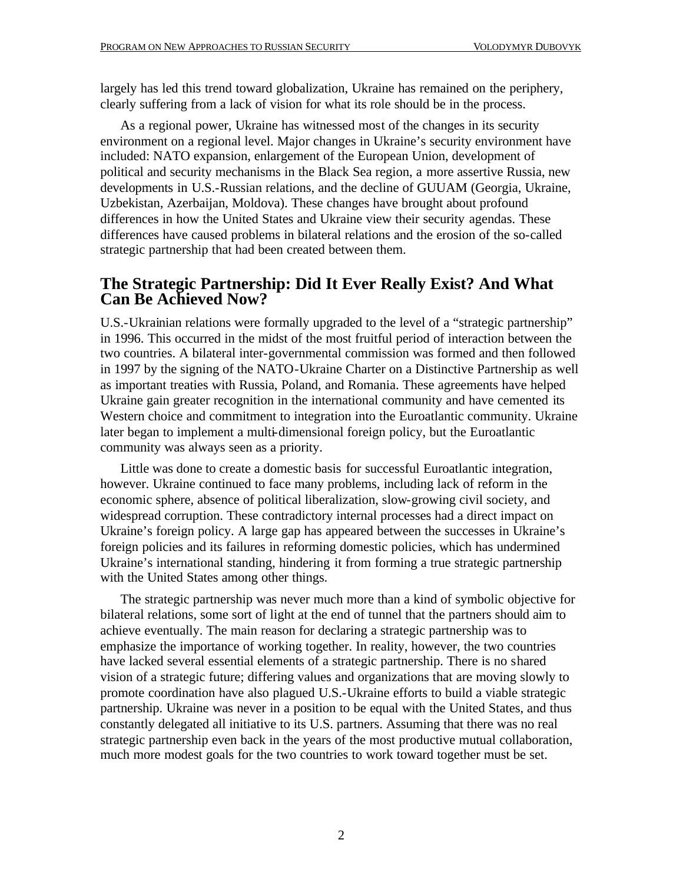largely has led this trend toward globalization, Ukraine has remained on the periphery, clearly suffering from a lack of vision for what its role should be in the process.

As a regional power, Ukraine has witnessed most of the changes in its security environment on a regional level. Major changes in Ukraine's security environment have included: NATO expansion, enlargement of the European Union, development of political and security mechanisms in the Black Sea region, a more assertive Russia, new developments in U.S.-Russian relations, and the decline of GUUAM (Georgia, Ukraine, Uzbekistan, Azerbaijan, Moldova). These changes have brought about profound differences in how the United States and Ukraine view their security agendas. These differences have caused problems in bilateral relations and the erosion of the so-called strategic partnership that had been created between them.

#### **The Strategic Partnership: Did It Ever Really Exist? And What Can Be Achieved Now?**

U.S.-Ukrainian relations were formally upgraded to the level of a "strategic partnership" in 1996. This occurred in the midst of the most fruitful period of interaction between the two countries. A bilateral inter-governmental commission was formed and then followed in 1997 by the signing of the NATO-Ukraine Charter on a Distinctive Partnership as well as important treaties with Russia, Poland, and Romania. These agreements have helped Ukraine gain greater recognition in the international community and have cemented its Western choice and commitment to integration into the Euroatlantic community. Ukraine later began to implement a multi-dimensional foreign policy, but the Euroatlantic community was always seen as a priority.

Little was done to create a domestic basis for successful Euroatlantic integration, however. Ukraine continued to face many problems, including lack of reform in the economic sphere, absence of political liberalization, slow-growing civil society, and widespread corruption. These contradictory internal processes had a direct impact on Ukraine's foreign policy. A large gap has appeared between the successes in Ukraine's foreign policies and its failures in reforming domestic policies, which has undermined Ukraine's international standing, hindering it from forming a true strategic partnership with the United States among other things.

The strategic partnership was never much more than a kind of symbolic objective for bilateral relations, some sort of light at the end of tunnel that the partners should aim to achieve eventually. The main reason for declaring a strategic partnership was to emphasize the importance of working together. In reality, however, the two countries have lacked several essential elements of a strategic partnership. There is no shared vision of a strategic future; differing values and organizations that are moving slowly to promote coordination have also plagued U.S.-Ukraine efforts to build a viable strategic partnership. Ukraine was never in a position to be equal with the United States, and thus constantly delegated all initiative to its U.S. partners. Assuming that there was no real strategic partnership even back in the years of the most productive mutual collaboration, much more modest goals for the two countries to work toward together must be set.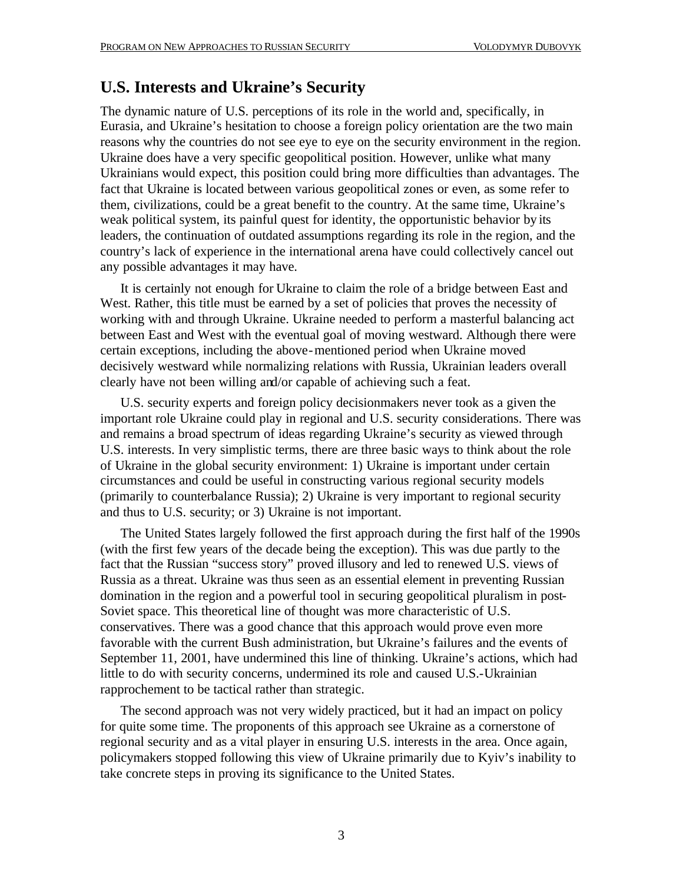# **U.S. Interests and Ukraine's Security**

The dynamic nature of U.S. perceptions of its role in the world and, specifically, in Eurasia, and Ukraine's hesitation to choose a foreign policy orientation are the two main reasons why the countries do not see eye to eye on the security environment in the region. Ukraine does have a very specific geopolitical position. However, unlike what many Ukrainians would expect, this position could bring more difficulties than advantages. The fact that Ukraine is located between various geopolitical zones or even, as some refer to them, civilizations, could be a great benefit to the country. At the same time, Ukraine's weak political system, its painful quest for identity, the opportunistic behavior by its leaders, the continuation of outdated assumptions regarding its role in the region, and the country's lack of experience in the international arena have could collectively cancel out any possible advantages it may have.

It is certainly not enough for Ukraine to claim the role of a bridge between East and West. Rather, this title must be earned by a set of policies that proves the necessity of working with and through Ukraine. Ukraine needed to perform a masterful balancing act between East and West with the eventual goal of moving westward. Although there were certain exceptions, including the above-mentioned period when Ukraine moved decisively westward while normalizing relations with Russia, Ukrainian leaders overall clearly have not been willing and/or capable of achieving such a feat.

U.S. security experts and foreign policy decisionmakers never took as a given the important role Ukraine could play in regional and U.S. security considerations. There was and remains a broad spectrum of ideas regarding Ukraine's security as viewed through U.S. interests. In very simplistic terms, there are three basic ways to think about the role of Ukraine in the global security environment: 1) Ukraine is important under certain circumstances and could be useful in constructing various regional security models (primarily to counterbalance Russia); 2) Ukraine is very important to regional security and thus to U.S. security; or 3) Ukraine is not important.

The United States largely followed the first approach during the first half of the 1990s (with the first few years of the decade being the exception). This was due partly to the fact that the Russian "success story" proved illusory and led to renewed U.S. views of Russia as a threat. Ukraine was thus seen as an essential element in preventing Russian domination in the region and a powerful tool in securing geopolitical pluralism in post-Soviet space. This theoretical line of thought was more characteristic of U.S. conservatives. There was a good chance that this approach would prove even more favorable with the current Bush administration, but Ukraine's failures and the events of September 11, 2001, have undermined this line of thinking. Ukraine's actions, which had little to do with security concerns, undermined its role and caused U.S.-Ukrainian rapprochement to be tactical rather than strategic.

The second approach was not very widely practiced, but it had an impact on policy for quite some time. The proponents of this approach see Ukraine as a cornerstone of regional security and as a vital player in ensuring U.S. interests in the area. Once again, policymakers stopped following this view of Ukraine primarily due to Kyiv's inability to take concrete steps in proving its significance to the United States.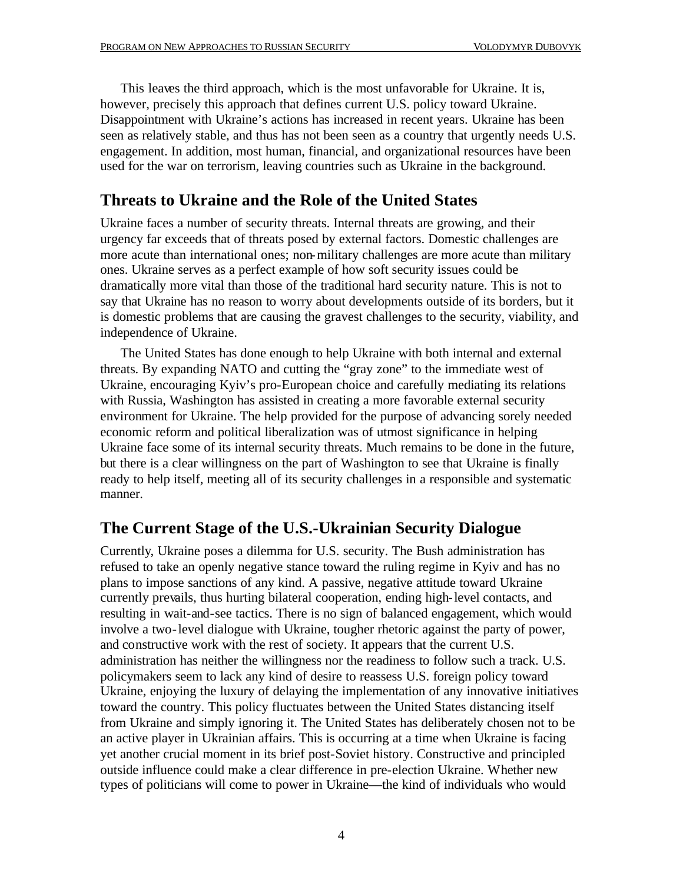This leaves the third approach, which is the most unfavorable for Ukraine. It is, however, precisely this approach that defines current U.S. policy toward Ukraine. Disappointment with Ukraine's actions has increased in recent years. Ukraine has been seen as relatively stable, and thus has not been seen as a country that urgently needs U.S. engagement. In addition, most human, financial, and organizational resources have been used for the war on terrorism, leaving countries such as Ukraine in the background.

## **Threats to Ukraine and the Role of the United States**

Ukraine faces a number of security threats. Internal threats are growing, and their urgency far exceeds that of threats posed by external factors. Domestic challenges are more acute than international ones; non-military challenges are more acute than military ones. Ukraine serves as a perfect example of how soft security issues could be dramatically more vital than those of the traditional hard security nature. This is not to say that Ukraine has no reason to worry about developments outside of its borders, but it is domestic problems that are causing the gravest challenges to the security, viability, and independence of Ukraine.

The United States has done enough to help Ukraine with both internal and external threats. By expanding NATO and cutting the "gray zone" to the immediate west of Ukraine, encouraging Kyiv's pro-European choice and carefully mediating its relations with Russia, Washington has assisted in creating a more favorable external security environment for Ukraine. The help provided for the purpose of advancing sorely needed economic reform and political liberalization was of utmost significance in helping Ukraine face some of its internal security threats. Much remains to be done in the future, but there is a clear willingness on the part of Washington to see that Ukraine is finally ready to help itself, meeting all of its security challenges in a responsible and systematic manner.

## **The Current Stage of the U.S.-Ukrainian Security Dialogue**

Currently, Ukraine poses a dilemma for U.S. security. The Bush administration has refused to take an openly negative stance toward the ruling regime in Kyiv and has no plans to impose sanctions of any kind. A passive, negative attitude toward Ukraine currently prevails, thus hurting bilateral cooperation, ending high-level contacts, and resulting in wait-and-see tactics. There is no sign of balanced engagement, which would involve a two-level dialogue with Ukraine, tougher rhetoric against the party of power, and constructive work with the rest of society. It appears that the current U.S. administration has neither the willingness nor the readiness to follow such a track. U.S. policymakers seem to lack any kind of desire to reassess U.S. foreign policy toward Ukraine, enjoying the luxury of delaying the implementation of any innovative initiatives toward the country. This policy fluctuates between the United States distancing itself from Ukraine and simply ignoring it. The United States has deliberately chosen not to be an active player in Ukrainian affairs. This is occurring at a time when Ukraine is facing yet another crucial moment in its brief post-Soviet history. Constructive and principled outside influence could make a clear difference in pre-election Ukraine. Whether new types of politicians will come to power in Ukraine—the kind of individuals who would